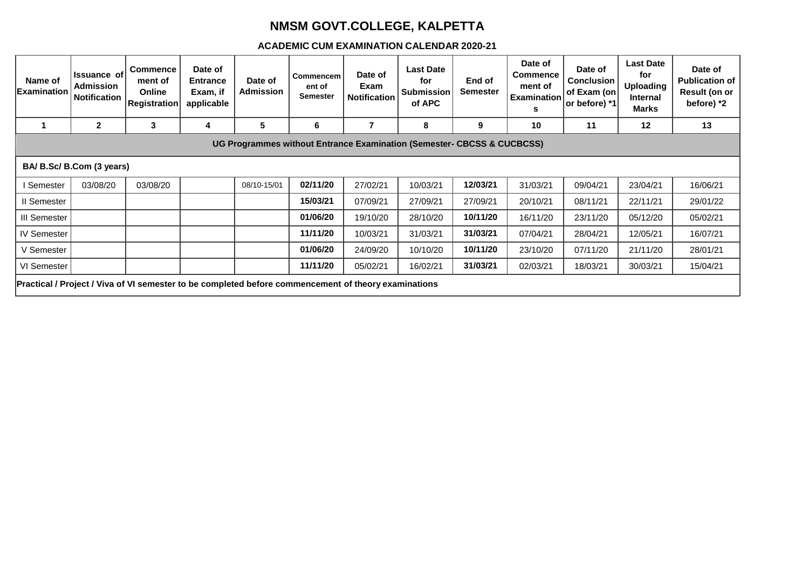## **NMSM GOVT.COLLEGE, KALPETTA**

## **ACADEMIC CUM EXAMINATION CALENDAR 2020-21**

| Name of<br>Examination                                                                               | <b>Issuance of</b><br><b>Admission</b><br><b>Notification</b> | <b>Commence</b><br>ment of<br><b>Online</b><br>Registration | Date of<br><b>Entrance</b><br>Exam, if<br>applicable | Date of<br>Admission | Commencem<br>ent of<br><b>Semester</b> | Date of<br>Exam<br><b>Notification</b> | <b>Last Date</b><br>for<br><b>Submission</b><br>of APC | End of<br><b>Semester</b> | Date of<br><b>Commence</b><br>ment of<br><b>Examination</b><br>s | Date of<br><b>Conclusion</b><br>of Exam (on<br>or before) *1 | <b>Last Date</b><br>for<br><b>Uploading</b><br>Internal<br><b>Marks</b> | Date of<br>Publication of<br>Result (on or<br>before) *2 |
|------------------------------------------------------------------------------------------------------|---------------------------------------------------------------|-------------------------------------------------------------|------------------------------------------------------|----------------------|----------------------------------------|----------------------------------------|--------------------------------------------------------|---------------------------|------------------------------------------------------------------|--------------------------------------------------------------|-------------------------------------------------------------------------|----------------------------------------------------------|
|                                                                                                      | $\mathbf{2}$                                                  | 3                                                           | 4                                                    | 5                    | 6                                      | 7                                      | 8                                                      | 9                         | 10                                                               | 11                                                           | 12                                                                      | 13                                                       |
| UG Programmes without Entrance Examination (Semester- CBCSS & CUCBCSS)                               |                                                               |                                                             |                                                      |                      |                                        |                                        |                                                        |                           |                                                                  |                                                              |                                                                         |                                                          |
| BA/ B.Sc/ B.Com (3 years)                                                                            |                                                               |                                                             |                                                      |                      |                                        |                                        |                                                        |                           |                                                                  |                                                              |                                                                         |                                                          |
| I Semester                                                                                           | 03/08/20                                                      | 03/08/20                                                    |                                                      | 08/10-15/01          | 02/11/20                               | 27/02/21                               | 10/03/21                                               | 12/03/21                  | 31/03/21                                                         | 09/04/21                                                     | 23/04/21                                                                | 16/06/21                                                 |
| II Semester                                                                                          |                                                               |                                                             |                                                      |                      | 15/03/21                               | 07/09/21                               | 27/09/21                                               | 27/09/21                  | 20/10/21                                                         | 08/11/21                                                     | 22/11/21                                                                | 29/01/22                                                 |
| III Semester                                                                                         |                                                               |                                                             |                                                      |                      | 01/06/20                               | 19/10/20                               | 28/10/20                                               | 10/11/20                  | 16/11/20                                                         | 23/11/20                                                     | 05/12/20                                                                | 05/02/21                                                 |
| <b>IV Semester</b>                                                                                   |                                                               |                                                             |                                                      |                      | 11/11/20                               | 10/03/21                               | 31/03/21                                               | 31/03/21                  | 07/04/21                                                         | 28/04/21                                                     | 12/05/21                                                                | 16/07/21                                                 |
| V Semester                                                                                           |                                                               |                                                             |                                                      |                      | 01/06/20                               | 24/09/20                               | 10/10/20                                               | 10/11/20                  | 23/10/20                                                         | 07/11/20                                                     | 21/11/20                                                                | 28/01/21                                                 |
| VI Semester                                                                                          |                                                               |                                                             |                                                      |                      | 11/11/20                               | 05/02/21                               | 16/02/21                                               | 31/03/21                  | 02/03/21                                                         | 18/03/21                                                     | 30/03/21                                                                | 15/04/21                                                 |
| Practical / Project / Viva of VI semester to be completed before commencement of theory examinations |                                                               |                                                             |                                                      |                      |                                        |                                        |                                                        |                           |                                                                  |                                                              |                                                                         |                                                          |